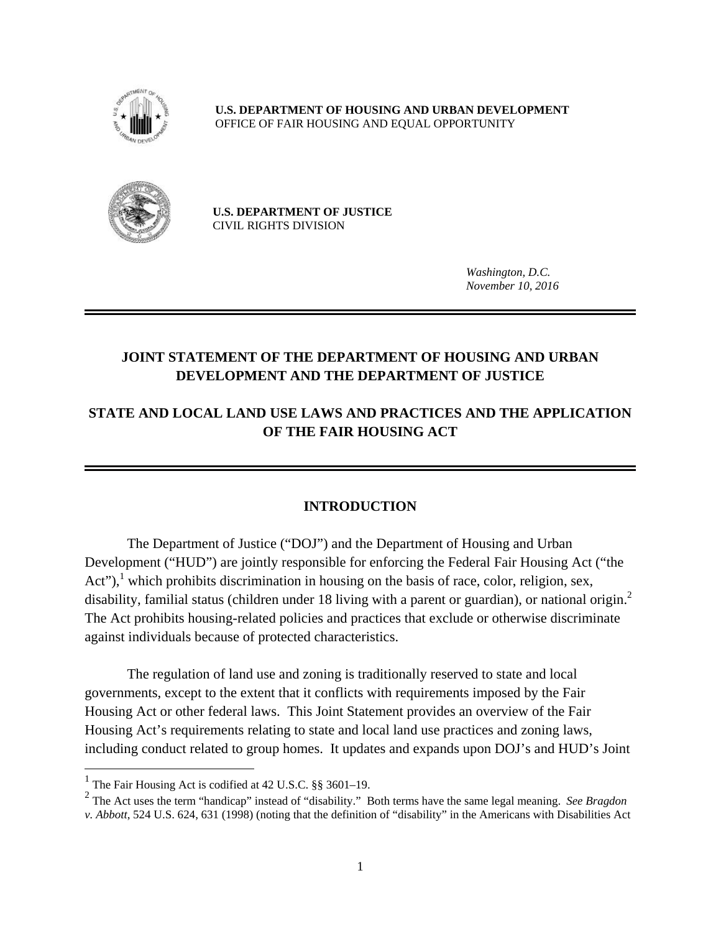

**U.S. DEPARTMENT OF HOUSING AND URBAN DEVELOPMENT**  OFFICE OF FAIR HOUSING AND EQUAL OPPORTUNITY



**U.S. DEPARTMENT OF JUSTICE**  CIVIL RIGHTS DIVISION

> *Washington, D.C. November 10, 2016*

# **JOINT STATEMENT OF THE DEPARTMENT OF HOUSING AND URBAN DEVELOPMENT AND THE DEPARTMENT OF JUSTICE**

# **STATE AND LOCAL LAND USE LAWS AND PRACTICES AND THE APPLICATION OF THE FAIR HOUSING ACT**

### **INTRODUCTION**

disability, familial status (children under 18 living with a parent or guardian), or national origin.<sup>2</sup> The Department of Justice ("DOJ") and the Department of Housing and Urban Development ("HUD") are jointly responsible for enforcing the Federal Fair Housing Act ("the Act"),<sup>1</sup> which prohibits discrimination in housing on the basis of race, color, religion, sex, The Act prohibits housing-related policies and practices that exclude or otherwise discriminate against individuals because of protected characteristics.

The regulation of land use and zoning is traditionally reserved to state and local governments, except to the extent that it conflicts with requirements imposed by the Fair Housing Act or other federal laws. This Joint Statement provides an overview of the Fair Housing Act's requirements relating to state and local land use practices and zoning laws, including conduct related to group homes. It updates and expands upon DOJ's and HUD's Joint

1

<sup>&</sup>lt;sup>1</sup> The Fair Housing Act is codified at 42 U.S.C. §§ 3601–19.

 2 The Act uses the term "handicap" instead of "disability." Both terms have the same legal meaning. *See Bragdon v. Abbott*, 524 U.S. 624, 631 (1998) (noting that the definition of "disability" in the Americans with Disabilities Act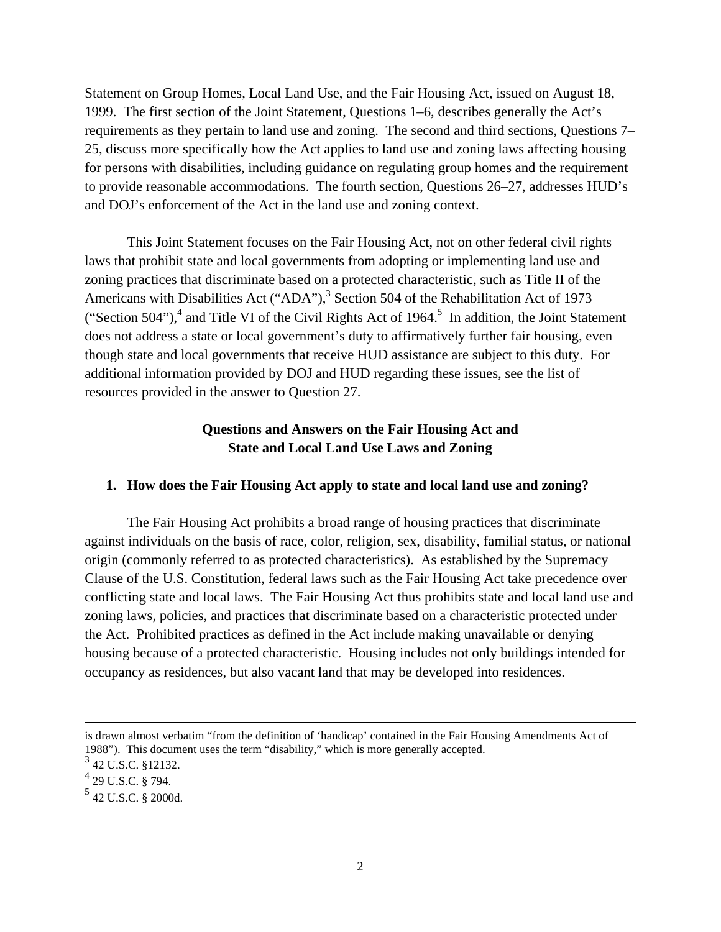Statement on Group Homes, Local Land Use, and the Fair Housing Act, issued on August 18, 1999. The first section of the Joint Statement, Questions 1–6, describes generally the Act's requirements as they pertain to land use and zoning. The second and third sections, Questions 7– 25, discuss more specifically how the Act applies to land use and zoning laws affecting housing for persons with disabilities, including guidance on regulating group homes and the requirement to provide reasonable accommodations. The fourth section, Questions 26–27, addresses HUD's and DOJ's enforcement of the Act in the land use and zoning context.

This Joint Statement focuses on the Fair Housing Act, not on other federal civil rights laws that prohibit state and local governments from adopting or implementing land use and zoning practices that discriminate based on a protected characteristic, such as Title II of the Americans with Disabilities Act ("ADA"), $3$  Section 504 of the Rehabilitation Act of 1973 ("Section 504"),<sup>4</sup> and Title VI of the Civil Rights Act of 1964.<sup>5</sup> In addition, the Joint Statement does not address a state or local government's duty to affirmatively further fair housing, even though state and local governments that receive HUD assistance are subject to this duty. For additional information provided by DOJ and HUD regarding these issues, see the list of resources provided in the answer to Question 27.

### **Questions and Answers on the Fair Housing Act and State and Local Land Use Laws and Zoning**

### **1. How does the Fair Housing Act apply to state and local land use and zoning?**

The Fair Housing Act prohibits a broad range of housing practices that discriminate against individuals on the basis of race, color, religion, sex, disability, familial status, or national origin (commonly referred to as protected characteristics). As established by the Supremacy Clause of the U.S. Constitution, federal laws such as the Fair Housing Act take precedence over conflicting state and local laws. The Fair Housing Act thus prohibits state and local land use and zoning laws, policies, and practices that discriminate based on a characteristic protected under the Act. Prohibited practices as defined in the Act include making unavailable or denying housing because of a protected characteristic. Housing includes not only buildings intended for occupancy as residences, but also vacant land that may be developed into residences.

 $\overline{a}$ 

is drawn almost verbatim "from the definition of 'handicap' contained in the Fair Housing Amendments Act of 1988"). This document uses the term "disability," which is more generally accepted.

<sup>3 42</sup> U.S.C. §12132.

 $^{4}$  29 U.S.C. § 794.

 $5$  42 U.S.C. § 2000d.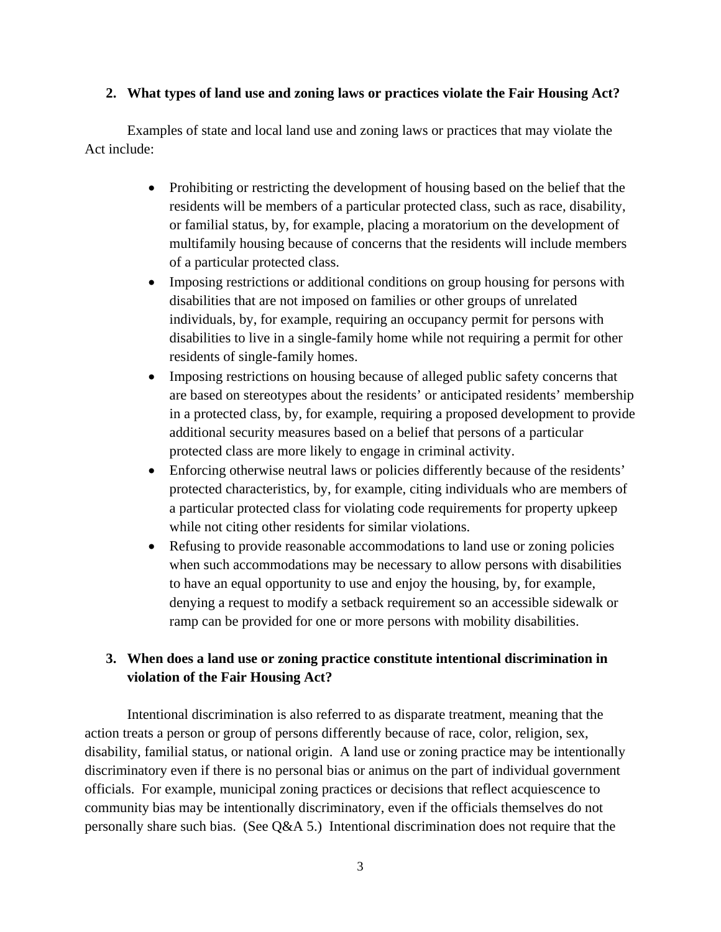### **2. What types of land use and zoning laws or practices violate the Fair Housing Act?**

Examples of state and local land use and zoning laws or practices that may violate the Act include:

- Prohibiting or restricting the development of housing based on the belief that the residents will be members of a particular protected class, such as race, disability, or familial status, by, for example, placing a moratorium on the development of multifamily housing because of concerns that the residents will include members of a particular protected class.
- Imposing restrictions or additional conditions on group housing for persons with disabilities that are not imposed on families or other groups of unrelated individuals, by, for example, requiring an occupancy permit for persons with disabilities to live in a single-family home while not requiring a permit for other residents of single-family homes.
- Imposing restrictions on housing because of alleged public safety concerns that are based on stereotypes about the residents' or anticipated residents' membership in a protected class, by, for example, requiring a proposed development to provide additional security measures based on a belief that persons of a particular protected class are more likely to engage in criminal activity.
- Enforcing otherwise neutral laws or policies differently because of the residents' protected characteristics, by, for example, citing individuals who are members of a particular protected class for violating code requirements for property upkeep while not citing other residents for similar violations.
- Refusing to provide reasonable accommodations to land use or zoning policies when such accommodations may be necessary to allow persons with disabilities to have an equal opportunity to use and enjoy the housing, by, for example, denying a request to modify a setback requirement so an accessible sidewalk or ramp can be provided for one or more persons with mobility disabilities.

# **3. When does a land use or zoning practice constitute intentional discrimination in violation of the Fair Housing Act?**

Intentional discrimination is also referred to as disparate treatment, meaning that the action treats a person or group of persons differently because of race, color, religion, sex, disability, familial status, or national origin. A land use or zoning practice may be intentionally discriminatory even if there is no personal bias or animus on the part of individual government officials. For example, municipal zoning practices or decisions that reflect acquiescence to community bias may be intentionally discriminatory, even if the officials themselves do not personally share such bias. (See Q&A 5.) Intentional discrimination does not require that the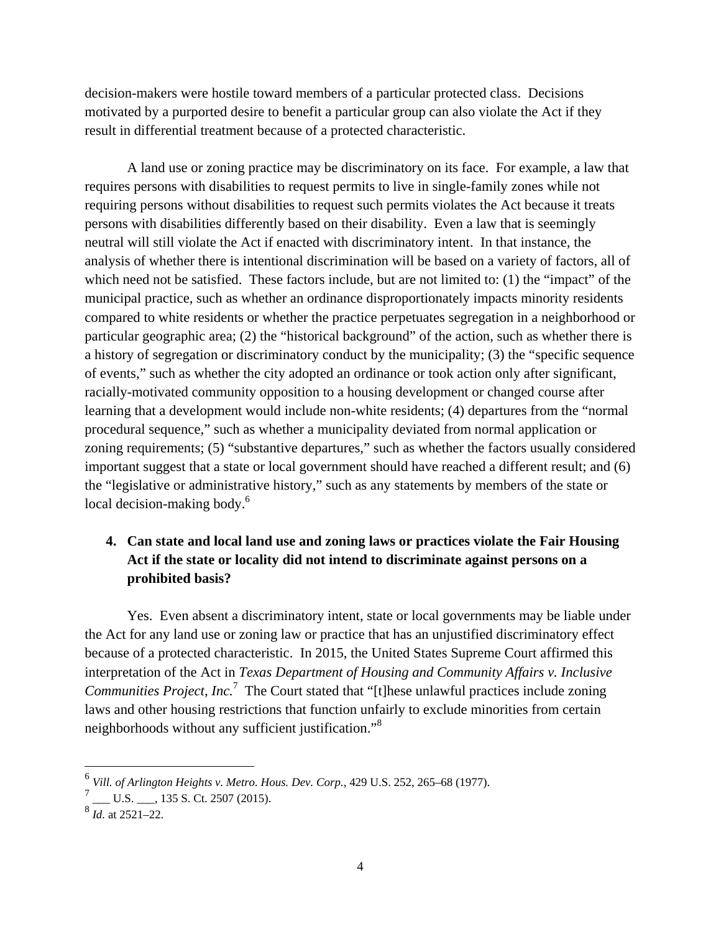decision-makers were hostile toward members of a particular protected class. Decisions motivated by a purported desire to benefit a particular group can also violate the Act if they result in differential treatment because of a protected characteristic.

A land use or zoning practice may be discriminatory on its face. For example, a law that requires persons with disabilities to request permits to live in single-family zones while not requiring persons without disabilities to request such permits violates the Act because it treats persons with disabilities differently based on their disability. Even a law that is seemingly neutral will still violate the Act if enacted with discriminatory intent. In that instance, the analysis of whether there is intentional discrimination will be based on a variety of factors, all of which need not be satisfied. These factors include, but are not limited to: (1) the "impact" of the municipal practice, such as whether an ordinance disproportionately impacts minority residents compared to white residents or whether the practice perpetuates segregation in a neighborhood or particular geographic area; (2) the "historical background" of the action, such as whether there is a history of segregation or discriminatory conduct by the municipality; (3) the "specific sequence of events," such as whether the city adopted an ordinance or took action only after significant, racially-motivated community opposition to a housing development or changed course after learning that a development would include non-white residents; (4) departures from the "normal procedural sequence," such as whether a municipality deviated from normal application or zoning requirements; (5) "substantive departures," such as whether the factors usually considered important suggest that a state or local government should have reached a different result; and (6) the "legislative or administrative history," such as any statements by members of the state or local decision-making body.<sup>6</sup>

# **4. Can state and local land use and zoning laws or practices violate the Fair Housing Act if the state or locality did not intend to discriminate against persons on a prohibited basis?**

*Communities Project, Inc.*<sup>7</sup> The Court stated that "[t]hese unlawful practices include zoning Yes. Even absent a discriminatory intent, state or local governments may be liable under the Act for any land use or zoning law or practice that has an unjustified discriminatory effect because of a protected characteristic. In 2015, the United States Supreme Court affirmed this interpretation of the Act in *Texas Department of Housing and Community Affairs v. Inclusive*  laws and other housing restrictions that function unfairly to exclude minorities from certain neighborhoods without any sufficient justification."<sup>8</sup>

 $\overline{a}$ 

<sup>6</sup>*Vill. of Arlington Heights v. Metro. Hous. Dev. Corp.*, 429 U.S. 252, 265–68 (1977).

 7 \_\_\_ U.S. \_\_\_, 135 S. Ct. 2507 (2015).

 $\overline{\right|^{8}$ *Id.* at 2521–22.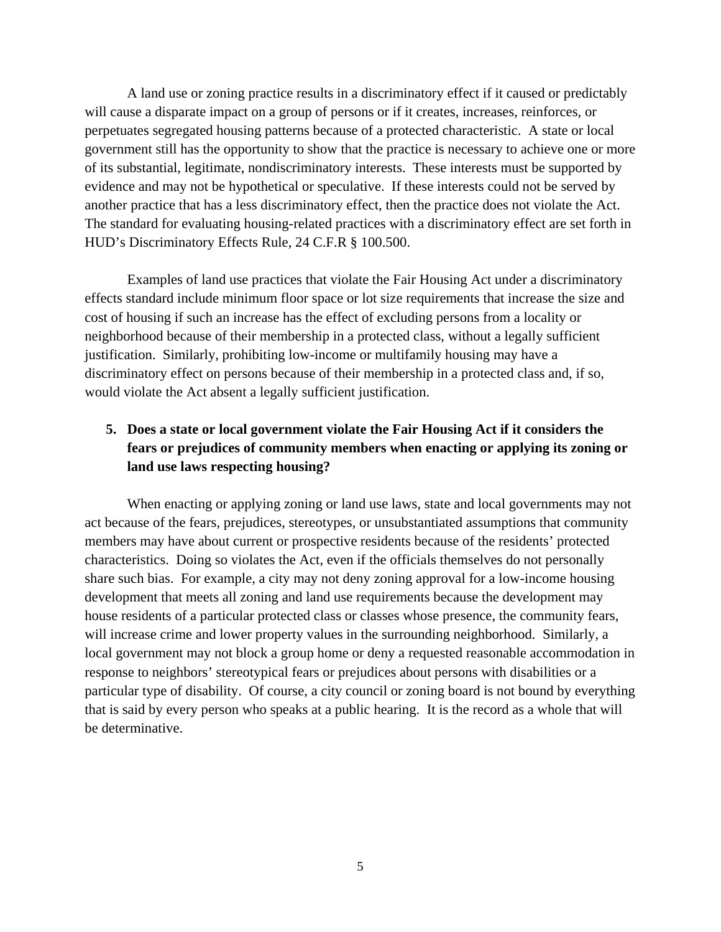A land use or zoning practice results in a discriminatory effect if it caused or predictably will cause a disparate impact on a group of persons or if it creates, increases, reinforces, or perpetuates segregated housing patterns because of a protected characteristic. A state or local government still has the opportunity to show that the practice is necessary to achieve one or more of its substantial, legitimate, nondiscriminatory interests. These interests must be supported by evidence and may not be hypothetical or speculative. If these interests could not be served by another practice that has a less discriminatory effect, then the practice does not violate the Act. The standard for evaluating housing-related practices with a discriminatory effect are set forth in HUD's Discriminatory Effects Rule, 24 C.F.R § 100.500.

Examples of land use practices that violate the Fair Housing Act under a discriminatory effects standard include minimum floor space or lot size requirements that increase the size and cost of housing if such an increase has the effect of excluding persons from a locality or neighborhood because of their membership in a protected class, without a legally sufficient justification. Similarly, prohibiting low-income or multifamily housing may have a discriminatory effect on persons because of their membership in a protected class and, if so, would violate the Act absent a legally sufficient justification.

# **5. Does a state or local government violate the Fair Housing Act if it considers the fears or prejudices of community members when enacting or applying its zoning or land use laws respecting housing?**

When enacting or applying zoning or land use laws, state and local governments may not act because of the fears, prejudices, stereotypes, or unsubstantiated assumptions that community members may have about current or prospective residents because of the residents' protected characteristics. Doing so violates the Act, even if the officials themselves do not personally share such bias. For example, a city may not deny zoning approval for a low-income housing development that meets all zoning and land use requirements because the development may house residents of a particular protected class or classes whose presence, the community fears, will increase crime and lower property values in the surrounding neighborhood. Similarly, a local government may not block a group home or deny a requested reasonable accommodation in response to neighbors' stereotypical fears or prejudices about persons with disabilities or a particular type of disability. Of course, a city council or zoning board is not bound by everything that is said by every person who speaks at a public hearing. It is the record as a whole that will be determinative.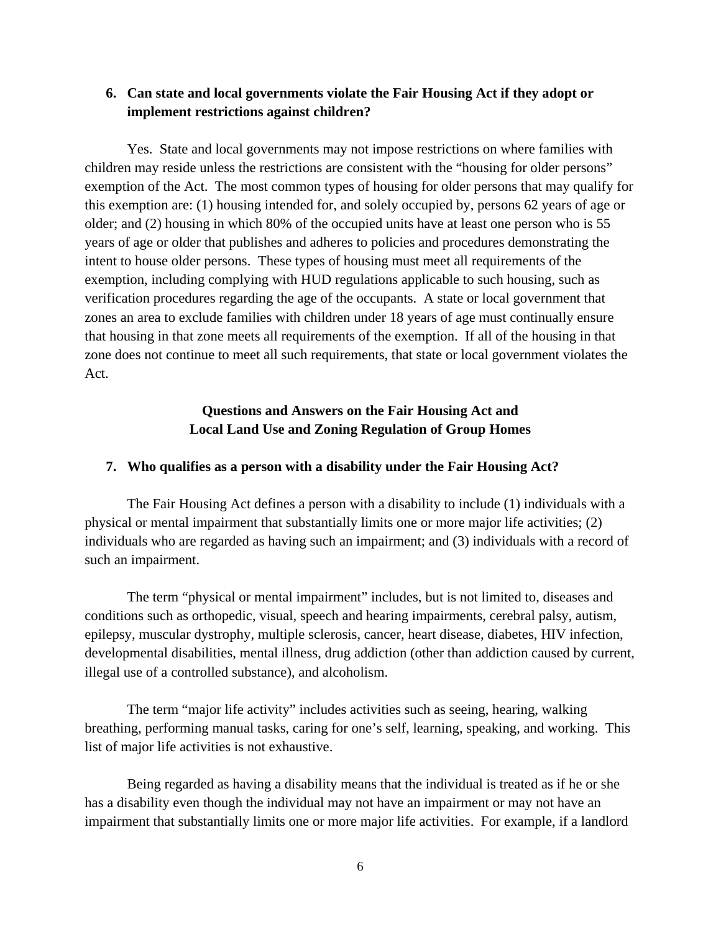### **6. Can state and local governments violate the Fair Housing Act if they adopt or implement restrictions against children?**

Yes. State and local governments may not impose restrictions on where families with children may reside unless the restrictions are consistent with the "housing for older persons" exemption of the Act. The most common types of housing for older persons that may qualify for this exemption are: (1) housing intended for, and solely occupied by, persons 62 years of age or older; and (2) housing in which 80% of the occupied units have at least one person who is 55 years of age or older that publishes and adheres to policies and procedures demonstrating the intent to house older persons. These types of housing must meet all requirements of the exemption, including complying with HUD regulations applicable to such housing, such as verification procedures regarding the age of the occupants. A state or local government that zones an area to exclude families with children under 18 years of age must continually ensure that housing in that zone meets all requirements of the exemption. If all of the housing in that zone does not continue to meet all such requirements, that state or local government violates the Act.

## **Questions and Answers on the Fair Housing Act and Local Land Use and Zoning Regulation of Group Homes**

#### **7. Who qualifies as a person with a disability under the Fair Housing Act?**

The Fair Housing Act defines a person with a disability to include (1) individuals with a physical or mental impairment that substantially limits one or more major life activities; (2) individuals who are regarded as having such an impairment; and (3) individuals with a record of such an impairment.

The term "physical or mental impairment" includes, but is not limited to, diseases and conditions such as orthopedic, visual, speech and hearing impairments, cerebral palsy, autism, epilepsy, muscular dystrophy, multiple sclerosis, cancer, heart disease, diabetes, HIV infection, developmental disabilities, mental illness, drug addiction (other than addiction caused by current, illegal use of a controlled substance), and alcoholism.

The term "major life activity" includes activities such as seeing, hearing, walking breathing, performing manual tasks, caring for one's self, learning, speaking, and working. This list of major life activities is not exhaustive.

Being regarded as having a disability means that the individual is treated as if he or she has a disability even though the individual may not have an impairment or may not have an impairment that substantially limits one or more major life activities. For example, if a landlord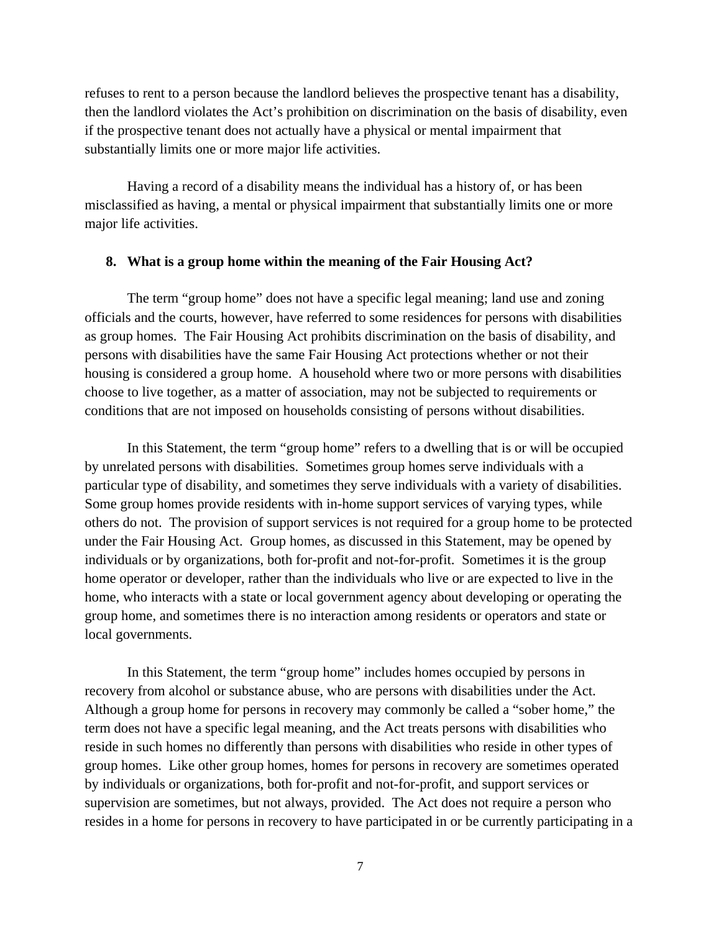refuses to rent to a person because the landlord believes the prospective tenant has a disability, then the landlord violates the Act's prohibition on discrimination on the basis of disability, even if the prospective tenant does not actually have a physical or mental impairment that substantially limits one or more major life activities.

Having a record of a disability means the individual has a history of, or has been misclassified as having, a mental or physical impairment that substantially limits one or more major life activities.

#### **8. What is a group home within the meaning of the Fair Housing Act?**

The term "group home" does not have a specific legal meaning; land use and zoning officials and the courts, however, have referred to some residences for persons with disabilities as group homes. The Fair Housing Act prohibits discrimination on the basis of disability, and persons with disabilities have the same Fair Housing Act protections whether or not their housing is considered a group home. A household where two or more persons with disabilities choose to live together, as a matter of association, may not be subjected to requirements or conditions that are not imposed on households consisting of persons without disabilities.

In this Statement, the term "group home" refers to a dwelling that is or will be occupied by unrelated persons with disabilities. Sometimes group homes serve individuals with a particular type of disability, and sometimes they serve individuals with a variety of disabilities. Some group homes provide residents with in-home support services of varying types, while others do not. The provision of support services is not required for a group home to be protected under the Fair Housing Act. Group homes, as discussed in this Statement, may be opened by individuals or by organizations, both for-profit and not-for-profit. Sometimes it is the group home operator or developer, rather than the individuals who live or are expected to live in the home, who interacts with a state or local government agency about developing or operating the group home, and sometimes there is no interaction among residents or operators and state or local governments.

In this Statement, the term "group home" includes homes occupied by persons in recovery from alcohol or substance abuse, who are persons with disabilities under the Act. Although a group home for persons in recovery may commonly be called a "sober home," the term does not have a specific legal meaning, and the Act treats persons with disabilities who reside in such homes no differently than persons with disabilities who reside in other types of group homes. Like other group homes, homes for persons in recovery are sometimes operated by individuals or organizations, both for-profit and not-for-profit, and support services or supervision are sometimes, but not always, provided. The Act does not require a person who resides in a home for persons in recovery to have participated in or be currently participating in a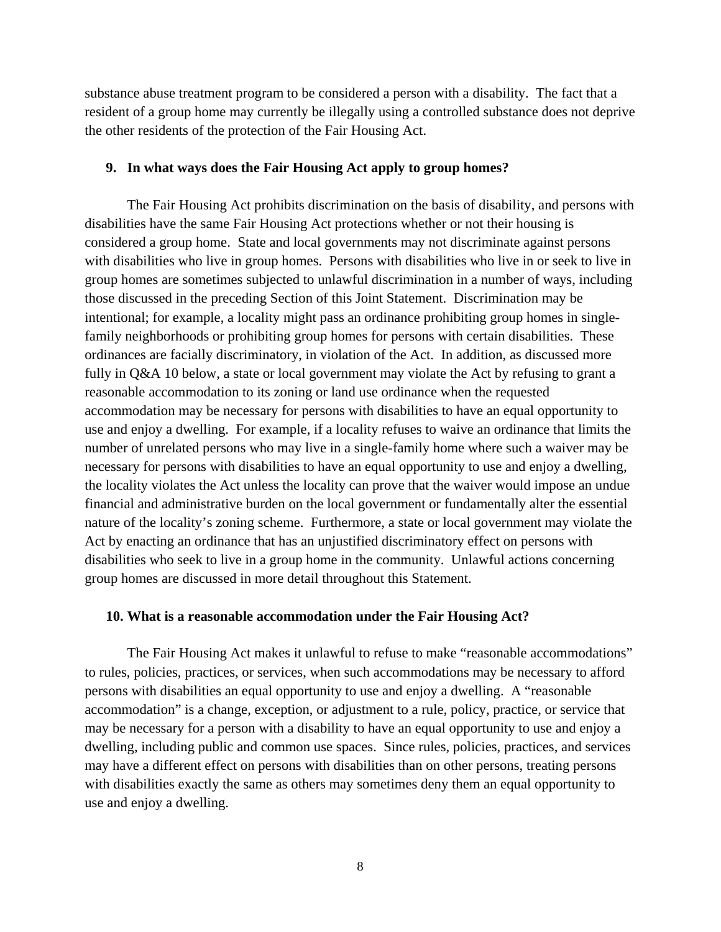substance abuse treatment program to be considered a person with a disability. The fact that a resident of a group home may currently be illegally using a controlled substance does not deprive the other residents of the protection of the Fair Housing Act.

#### **9. In what ways does the Fair Housing Act apply to group homes?**

The Fair Housing Act prohibits discrimination on the basis of disability, and persons with disabilities have the same Fair Housing Act protections whether or not their housing is considered a group home. State and local governments may not discriminate against persons with disabilities who live in group homes. Persons with disabilities who live in or seek to live in group homes are sometimes subjected to unlawful discrimination in a number of ways, including those discussed in the preceding Section of this Joint Statement. Discrimination may be intentional; for example, a locality might pass an ordinance prohibiting group homes in singlefamily neighborhoods or prohibiting group homes for persons with certain disabilities. These ordinances are facially discriminatory, in violation of the Act. In addition, as discussed more fully in Q&A 10 below, a state or local government may violate the Act by refusing to grant a reasonable accommodation to its zoning or land use ordinance when the requested accommodation may be necessary for persons with disabilities to have an equal opportunity to use and enjoy a dwelling. For example, if a locality refuses to waive an ordinance that limits the number of unrelated persons who may live in a single-family home where such a waiver may be necessary for persons with disabilities to have an equal opportunity to use and enjoy a dwelling, the locality violates the Act unless the locality can prove that the waiver would impose an undue financial and administrative burden on the local government or fundamentally alter the essential nature of the locality's zoning scheme. Furthermore, a state or local government may violate the Act by enacting an ordinance that has an unjustified discriminatory effect on persons with disabilities who seek to live in a group home in the community. Unlawful actions concerning group homes are discussed in more detail throughout this Statement.

#### **10. What is a reasonable accommodation under the Fair Housing Act?**

The Fair Housing Act makes it unlawful to refuse to make "reasonable accommodations" to rules, policies, practices, or services, when such accommodations may be necessary to afford persons with disabilities an equal opportunity to use and enjoy a dwelling. A "reasonable accommodation" is a change, exception, or adjustment to a rule, policy, practice, or service that may be necessary for a person with a disability to have an equal opportunity to use and enjoy a dwelling, including public and common use spaces. Since rules, policies, practices, and services may have a different effect on persons with disabilities than on other persons, treating persons with disabilities exactly the same as others may sometimes deny them an equal opportunity to use and enjoy a dwelling.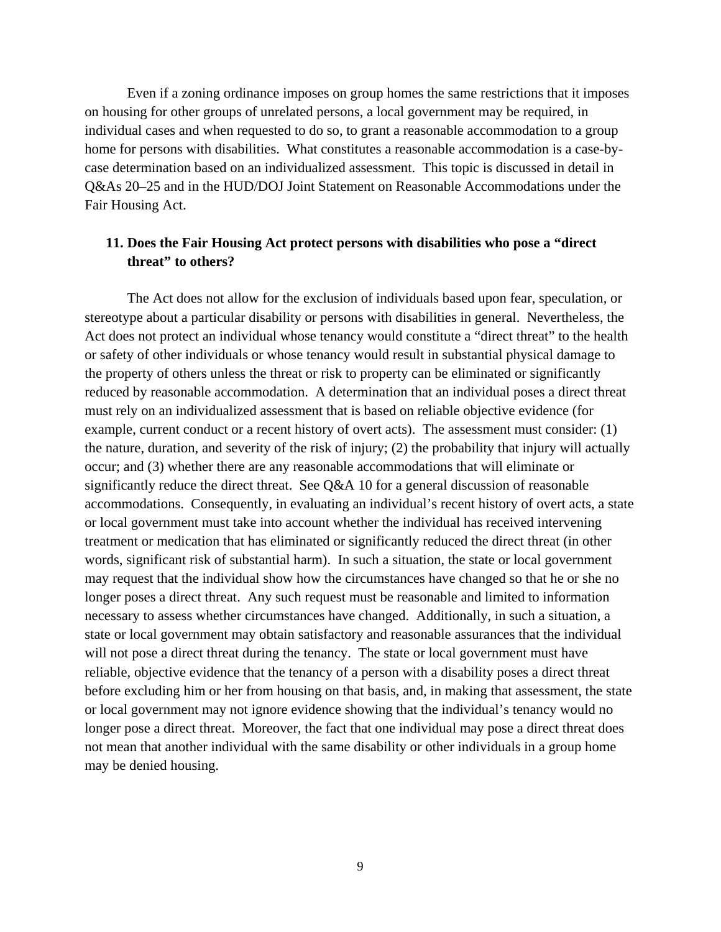Even if a zoning ordinance imposes on group homes the same restrictions that it imposes on housing for other groups of unrelated persons, a local government may be required, in individual cases and when requested to do so, to grant a reasonable accommodation to a group home for persons with disabilities. What constitutes a reasonable accommodation is a case-bycase determination based on an individualized assessment. This topic is discussed in detail in Q&As 20–25 and in the HUD/DOJ Joint Statement on Reasonable Accommodations under the Fair Housing Act.

### **11. Does the Fair Housing Act protect persons with disabilities who pose a "direct threat" to others?**

The Act does not allow for the exclusion of individuals based upon fear, speculation, or stereotype about a particular disability or persons with disabilities in general. Nevertheless, the Act does not protect an individual whose tenancy would constitute a "direct threat" to the health or safety of other individuals or whose tenancy would result in substantial physical damage to the property of others unless the threat or risk to property can be eliminated or significantly reduced by reasonable accommodation. A determination that an individual poses a direct threat must rely on an individualized assessment that is based on reliable objective evidence (for example, current conduct or a recent history of overt acts). The assessment must consider: (1) the nature, duration, and severity of the risk of injury; (2) the probability that injury will actually occur; and (3) whether there are any reasonable accommodations that will eliminate or significantly reduce the direct threat. See Q&A 10 for a general discussion of reasonable accommodations. Consequently, in evaluating an individual's recent history of overt acts, a state or local government must take into account whether the individual has received intervening treatment or medication that has eliminated or significantly reduced the direct threat (in other words, significant risk of substantial harm). In such a situation, the state or local government may request that the individual show how the circumstances have changed so that he or she no longer poses a direct threat. Any such request must be reasonable and limited to information necessary to assess whether circumstances have changed. Additionally, in such a situation, a state or local government may obtain satisfactory and reasonable assurances that the individual will not pose a direct threat during the tenancy. The state or local government must have reliable, objective evidence that the tenancy of a person with a disability poses a direct threat before excluding him or her from housing on that basis, and, in making that assessment, the state or local government may not ignore evidence showing that the individual's tenancy would no longer pose a direct threat. Moreover, the fact that one individual may pose a direct threat does not mean that another individual with the same disability or other individuals in a group home may be denied housing.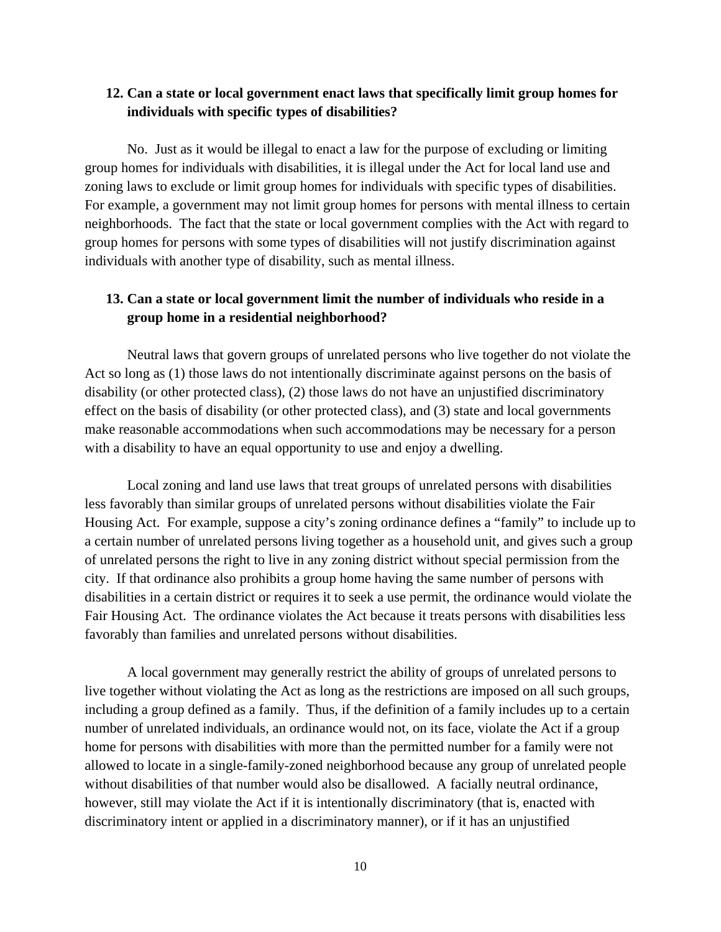## **12. Can a state or local government enact laws that specifically limit group homes for individuals with specific types of disabilities?**

No. Just as it would be illegal to enact a law for the purpose of excluding or limiting group homes for individuals with disabilities, it is illegal under the Act for local land use and zoning laws to exclude or limit group homes for individuals with specific types of disabilities. For example, a government may not limit group homes for persons with mental illness to certain neighborhoods. The fact that the state or local government complies with the Act with regard to group homes for persons with some types of disabilities will not justify discrimination against individuals with another type of disability, such as mental illness.

## **13. Can a state or local government limit the number of individuals who reside in a group home in a residential neighborhood?**

Neutral laws that govern groups of unrelated persons who live together do not violate the Act so long as (1) those laws do not intentionally discriminate against persons on the basis of disability (or other protected class), (2) those laws do not have an unjustified discriminatory effect on the basis of disability (or other protected class), and (3) state and local governments make reasonable accommodations when such accommodations may be necessary for a person with a disability to have an equal opportunity to use and enjoy a dwelling.

Local zoning and land use laws that treat groups of unrelated persons with disabilities less favorably than similar groups of unrelated persons without disabilities violate the Fair Housing Act. For example, suppose a city's zoning ordinance defines a "family" to include up to a certain number of unrelated persons living together as a household unit, and gives such a group of unrelated persons the right to live in any zoning district without special permission from the city. If that ordinance also prohibits a group home having the same number of persons with disabilities in a certain district or requires it to seek a use permit, the ordinance would violate the Fair Housing Act. The ordinance violates the Act because it treats persons with disabilities less favorably than families and unrelated persons without disabilities.

A local government may generally restrict the ability of groups of unrelated persons to live together without violating the Act as long as the restrictions are imposed on all such groups, including a group defined as a family. Thus, if the definition of a family includes up to a certain number of unrelated individuals, an ordinance would not, on its face, violate the Act if a group home for persons with disabilities with more than the permitted number for a family were not allowed to locate in a single-family-zoned neighborhood because any group of unrelated people without disabilities of that number would also be disallowed. A facially neutral ordinance, however, still may violate the Act if it is intentionally discriminatory (that is, enacted with discriminatory intent or applied in a discriminatory manner), or if it has an unjustified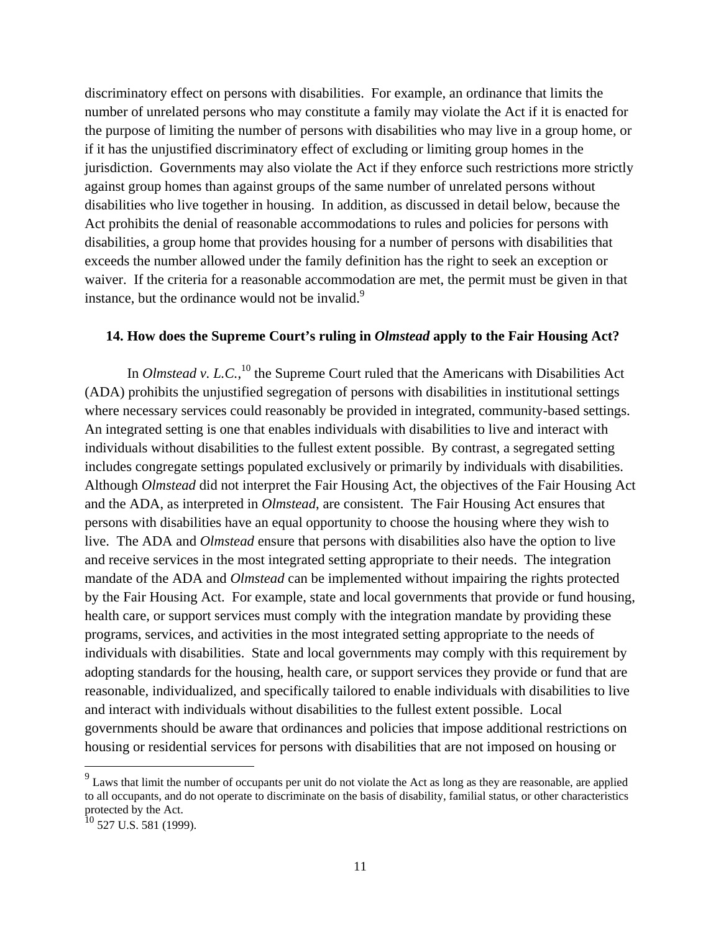discriminatory effect on persons with disabilities. For example, an ordinance that limits the number of unrelated persons who may constitute a family may violate the Act if it is enacted for the purpose of limiting the number of persons with disabilities who may live in a group home, or if it has the unjustified discriminatory effect of excluding or limiting group homes in the jurisdiction. Governments may also violate the Act if they enforce such restrictions more strictly against group homes than against groups of the same number of unrelated persons without disabilities who live together in housing. In addition, as discussed in detail below, because the Act prohibits the denial of reasonable accommodations to rules and policies for persons with disabilities, a group home that provides housing for a number of persons with disabilities that exceeds the number allowed under the family definition has the right to seek an exception or waiver. If the criteria for a reasonable accommodation are met, the permit must be given in that instance, but the ordinance would not be invalid. $9$ 

#### **14. How does the Supreme Court's ruling in** *Olmstead* **apply to the Fair Housing Act?**

 where necessary services could reasonably be provided in integrated, community-based settings. In *Olmstead v. L.C.*,<sup>10</sup> the Supreme Court ruled that the Americans with Disabilities Act (ADA) prohibits the unjustified segregation of persons with disabilities in institutional settings An integrated setting is one that enables individuals with disabilities to live and interact with individuals without disabilities to the fullest extent possible. By contrast, a segregated setting includes congregate settings populated exclusively or primarily by individuals with disabilities. Although *Olmstead* did not interpret the Fair Housing Act, the objectives of the Fair Housing Act and the ADA, as interpreted in *Olmstead*, are consistent. The Fair Housing Act ensures that persons with disabilities have an equal opportunity to choose the housing where they wish to live. The ADA and *Olmstead* ensure that persons with disabilities also have the option to live and receive services in the most integrated setting appropriate to their needs. The integration mandate of the ADA and *Olmstead* can be implemented without impairing the rights protected by the Fair Housing Act. For example, state and local governments that provide or fund housing, health care, or support services must comply with the integration mandate by providing these programs, services, and activities in the most integrated setting appropriate to the needs of individuals with disabilities. State and local governments may comply with this requirement by adopting standards for the housing, health care, or support services they provide or fund that are reasonable, individualized, and specifically tailored to enable individuals with disabilities to live and interact with individuals without disabilities to the fullest extent possible. Local governments should be aware that ordinances and policies that impose additional restrictions on housing or residential services for persons with disabilities that are not imposed on housing or

 $\overline{a}$ 

 $9<sup>9</sup>$  Laws that limit the number of occupants per unit do not violate the Act as long as they are reasonable, are applied to all occupants, and do not operate to discriminate on the basis of disability, familial status, or other characteristics protected by the Act.

 $^{10}$  527 U.S. 581 (1999).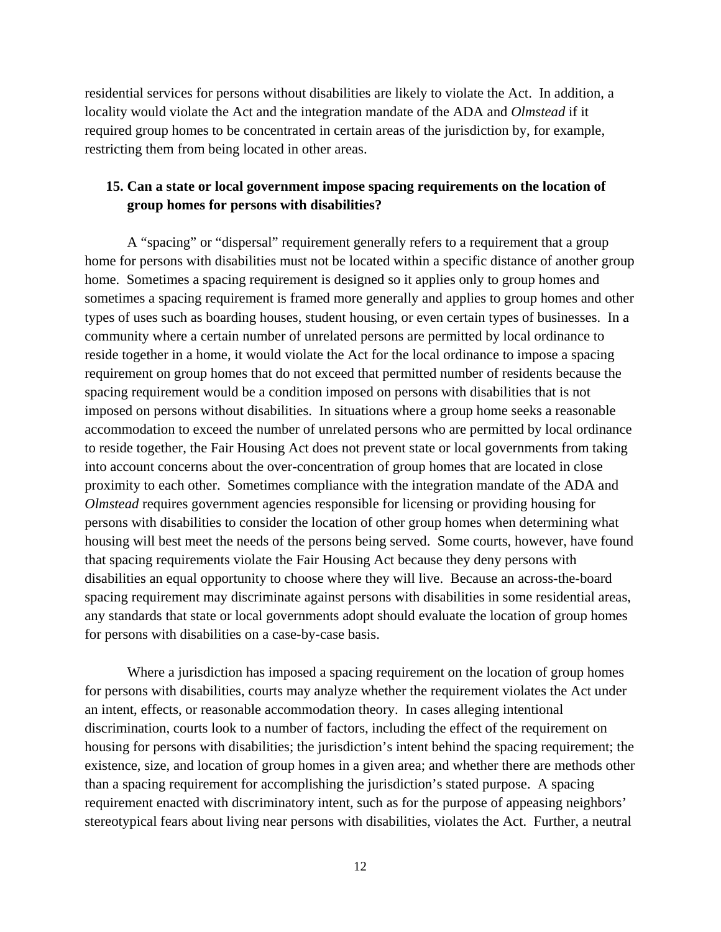residential services for persons without disabilities are likely to violate the Act. In addition, a locality would violate the Act and the integration mandate of the ADA and *Olmstead* if it required group homes to be concentrated in certain areas of the jurisdiction by, for example, restricting them from being located in other areas.

### **15. Can a state or local government impose spacing requirements on the location of group homes for persons with disabilities?**

A "spacing" or "dispersal" requirement generally refers to a requirement that a group home for persons with disabilities must not be located within a specific distance of another group home. Sometimes a spacing requirement is designed so it applies only to group homes and sometimes a spacing requirement is framed more generally and applies to group homes and other types of uses such as boarding houses, student housing, or even certain types of businesses. In a community where a certain number of unrelated persons are permitted by local ordinance to reside together in a home, it would violate the Act for the local ordinance to impose a spacing requirement on group homes that do not exceed that permitted number of residents because the spacing requirement would be a condition imposed on persons with disabilities that is not imposed on persons without disabilities. In situations where a group home seeks a reasonable accommodation to exceed the number of unrelated persons who are permitted by local ordinance to reside together, the Fair Housing Act does not prevent state or local governments from taking into account concerns about the over-concentration of group homes that are located in close proximity to each other. Sometimes compliance with the integration mandate of the ADA and *Olmstead* requires government agencies responsible for licensing or providing housing for persons with disabilities to consider the location of other group homes when determining what housing will best meet the needs of the persons being served. Some courts, however, have found that spacing requirements violate the Fair Housing Act because they deny persons with disabilities an equal opportunity to choose where they will live. Because an across-the-board spacing requirement may discriminate against persons with disabilities in some residential areas, any standards that state or local governments adopt should evaluate the location of group homes for persons with disabilities on a case-by-case basis.

Where a jurisdiction has imposed a spacing requirement on the location of group homes for persons with disabilities, courts may analyze whether the requirement violates the Act under an intent, effects, or reasonable accommodation theory. In cases alleging intentional discrimination, courts look to a number of factors, including the effect of the requirement on housing for persons with disabilities; the jurisdiction's intent behind the spacing requirement; the existence, size, and location of group homes in a given area; and whether there are methods other than a spacing requirement for accomplishing the jurisdiction's stated purpose. A spacing requirement enacted with discriminatory intent, such as for the purpose of appeasing neighbors' stereotypical fears about living near persons with disabilities, violates the Act. Further, a neutral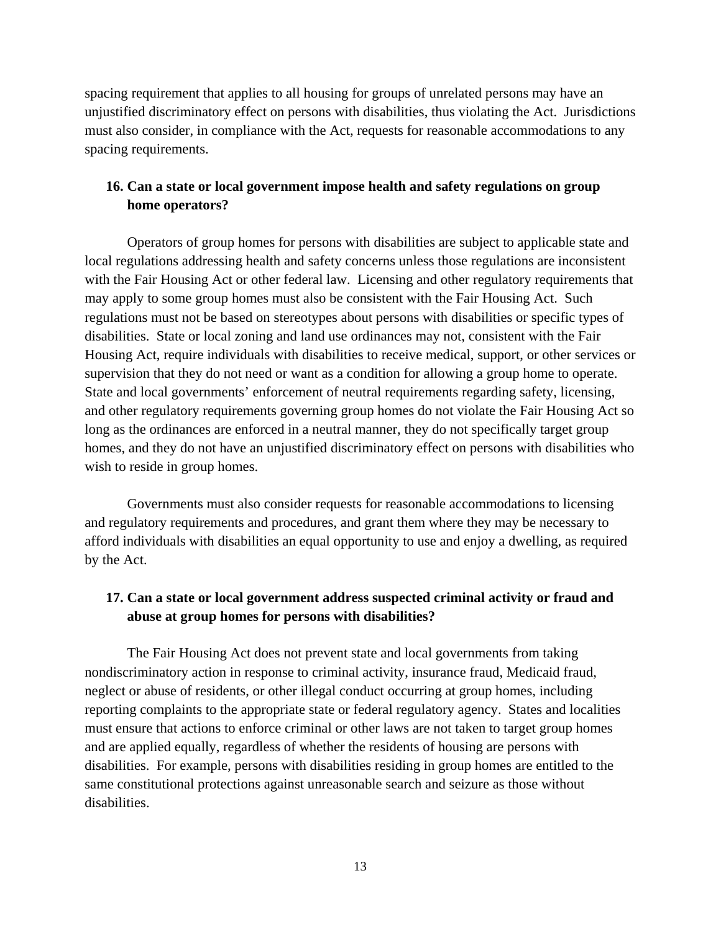spacing requirement that applies to all housing for groups of unrelated persons may have an unjustified discriminatory effect on persons with disabilities, thus violating the Act. Jurisdictions must also consider, in compliance with the Act, requests for reasonable accommodations to any spacing requirements.

## **16. Can a state or local government impose health and safety regulations on group home operators?**

Operators of group homes for persons with disabilities are subject to applicable state and local regulations addressing health and safety concerns unless those regulations are inconsistent with the Fair Housing Act or other federal law. Licensing and other regulatory requirements that may apply to some group homes must also be consistent with the Fair Housing Act. Such regulations must not be based on stereotypes about persons with disabilities or specific types of disabilities. State or local zoning and land use ordinances may not, consistent with the Fair Housing Act, require individuals with disabilities to receive medical, support, or other services or supervision that they do not need or want as a condition for allowing a group home to operate. State and local governments' enforcement of neutral requirements regarding safety, licensing, and other regulatory requirements governing group homes do not violate the Fair Housing Act so long as the ordinances are enforced in a neutral manner, they do not specifically target group homes, and they do not have an unjustified discriminatory effect on persons with disabilities who wish to reside in group homes.

Governments must also consider requests for reasonable accommodations to licensing and regulatory requirements and procedures, and grant them where they may be necessary to afford individuals with disabilities an equal opportunity to use and enjoy a dwelling, as required by the Act.

## **17. Can a state or local government address suspected criminal activity or fraud and abuse at group homes for persons with disabilities?**

The Fair Housing Act does not prevent state and local governments from taking nondiscriminatory action in response to criminal activity, insurance fraud, Medicaid fraud, neglect or abuse of residents, or other illegal conduct occurring at group homes, including reporting complaints to the appropriate state or federal regulatory agency. States and localities must ensure that actions to enforce criminal or other laws are not taken to target group homes and are applied equally, regardless of whether the residents of housing are persons with disabilities. For example, persons with disabilities residing in group homes are entitled to the same constitutional protections against unreasonable search and seizure as those without disabilities.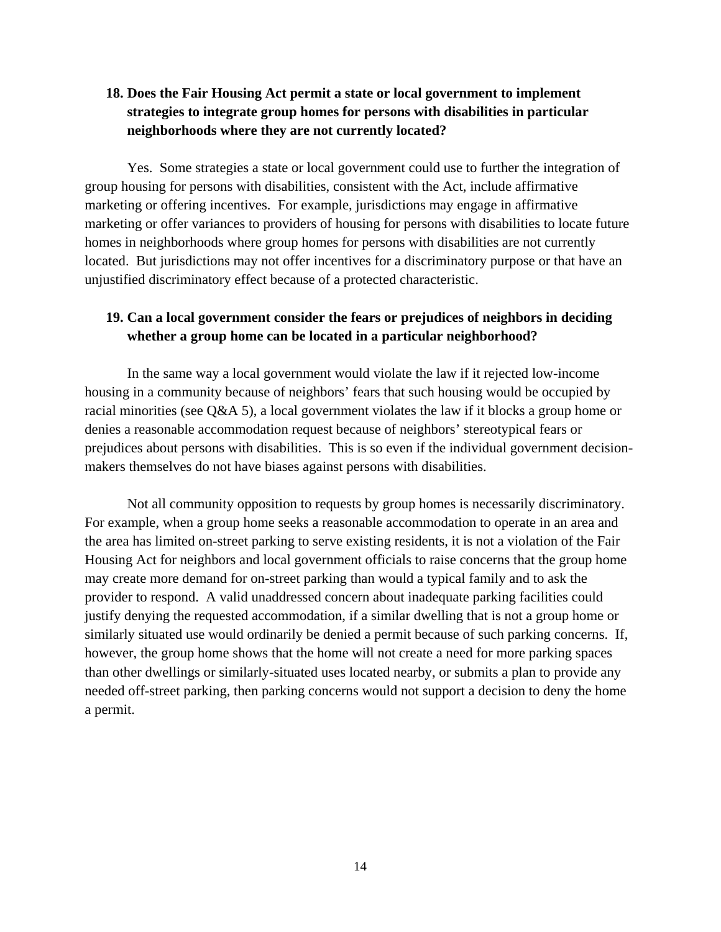# **18. Does the Fair Housing Act permit a state or local government to implement strategies to integrate group homes for persons with disabilities in particular neighborhoods where they are not currently located?**

Yes. Some strategies a state or local government could use to further the integration of group housing for persons with disabilities, consistent with the Act, include affirmative marketing or offering incentives. For example, jurisdictions may engage in affirmative marketing or offer variances to providers of housing for persons with disabilities to locate future homes in neighborhoods where group homes for persons with disabilities are not currently located. But jurisdictions may not offer incentives for a discriminatory purpose or that have an unjustified discriminatory effect because of a protected characteristic.

## **19. Can a local government consider the fears or prejudices of neighbors in deciding whether a group home can be located in a particular neighborhood?**

In the same way a local government would violate the law if it rejected low-income housing in a community because of neighbors' fears that such housing would be occupied by racial minorities (see Q&A 5), a local government violates the law if it blocks a group home or denies a reasonable accommodation request because of neighbors' stereotypical fears or prejudices about persons with disabilities. This is so even if the individual government decisionmakers themselves do not have biases against persons with disabilities.

Not all community opposition to requests by group homes is necessarily discriminatory. For example, when a group home seeks a reasonable accommodation to operate in an area and the area has limited on-street parking to serve existing residents, it is not a violation of the Fair Housing Act for neighbors and local government officials to raise concerns that the group home may create more demand for on-street parking than would a typical family and to ask the provider to respond. A valid unaddressed concern about inadequate parking facilities could justify denying the requested accommodation, if a similar dwelling that is not a group home or similarly situated use would ordinarily be denied a permit because of such parking concerns. If, however, the group home shows that the home will not create a need for more parking spaces than other dwellings or similarly-situated uses located nearby, or submits a plan to provide any needed off-street parking, then parking concerns would not support a decision to deny the home a permit.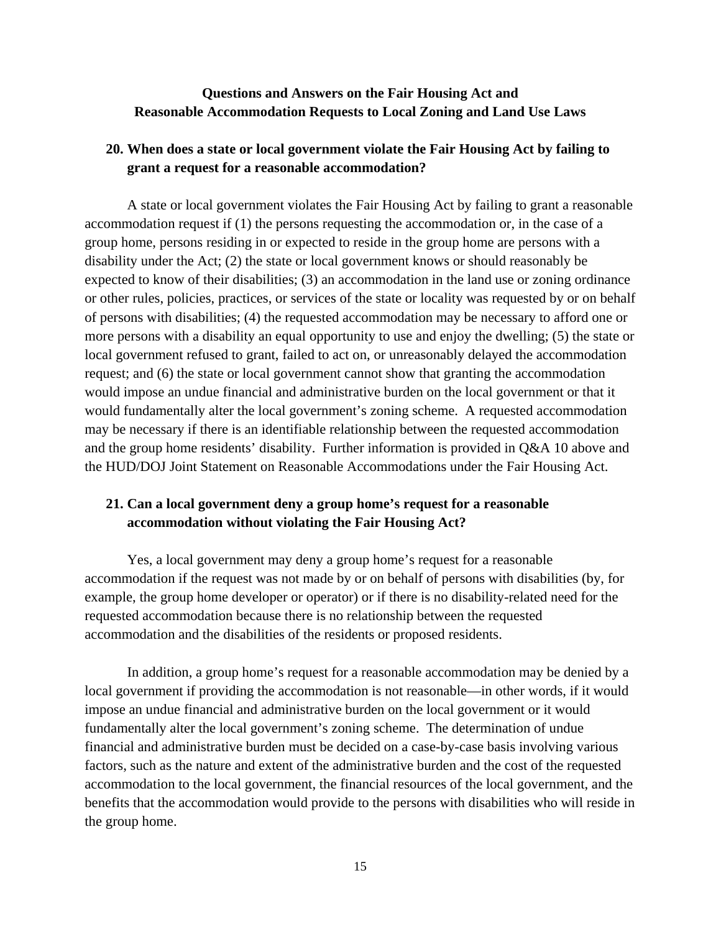## **Questions and Answers on the Fair Housing Act and Reasonable Accommodation Requests to Local Zoning and Land Use Laws**

# **20. When does a state or local government violate the Fair Housing Act by failing to grant a request for a reasonable accommodation?**

A state or local government violates the Fair Housing Act by failing to grant a reasonable accommodation request if (1) the persons requesting the accommodation or, in the case of a group home, persons residing in or expected to reside in the group home are persons with a disability under the Act; (2) the state or local government knows or should reasonably be expected to know of their disabilities; (3) an accommodation in the land use or zoning ordinance or other rules, policies, practices, or services of the state or locality was requested by or on behalf of persons with disabilities; (4) the requested accommodation may be necessary to afford one or more persons with a disability an equal opportunity to use and enjoy the dwelling; (5) the state or local government refused to grant, failed to act on, or unreasonably delayed the accommodation request; and (6) the state or local government cannot show that granting the accommodation would impose an undue financial and administrative burden on the local government or that it would fundamentally alter the local government's zoning scheme. A requested accommodation may be necessary if there is an identifiable relationship between the requested accommodation and the group home residents' disability. Further information is provided in Q&A 10 above and the HUD/DOJ Joint Statement on Reasonable Accommodations under the Fair Housing Act.

## **21. Can a local government deny a group home's request for a reasonable accommodation without violating the Fair Housing Act?**

Yes, a local government may deny a group home's request for a reasonable accommodation if the request was not made by or on behalf of persons with disabilities (by, for example, the group home developer or operator) or if there is no disability-related need for the requested accommodation because there is no relationship between the requested accommodation and the disabilities of the residents or proposed residents.

In addition, a group home's request for a reasonable accommodation may be denied by a local government if providing the accommodation is not reasonable—in other words, if it would impose an undue financial and administrative burden on the local government or it would fundamentally alter the local government's zoning scheme. The determination of undue financial and administrative burden must be decided on a case-by-case basis involving various factors, such as the nature and extent of the administrative burden and the cost of the requested accommodation to the local government, the financial resources of the local government, and the benefits that the accommodation would provide to the persons with disabilities who will reside in the group home.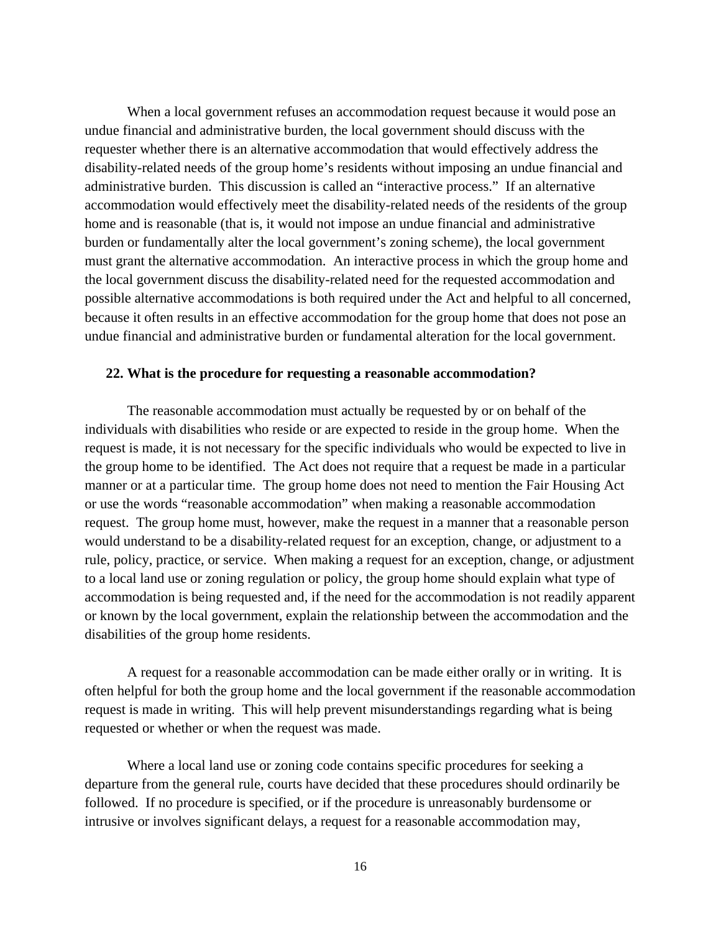When a local government refuses an accommodation request because it would pose an undue financial and administrative burden, the local government should discuss with the requester whether there is an alternative accommodation that would effectively address the disability-related needs of the group home's residents without imposing an undue financial and administrative burden. This discussion is called an "interactive process." If an alternative accommodation would effectively meet the disability-related needs of the residents of the group home and is reasonable (that is, it would not impose an undue financial and administrative burden or fundamentally alter the local government's zoning scheme), the local government must grant the alternative accommodation. An interactive process in which the group home and the local government discuss the disability-related need for the requested accommodation and possible alternative accommodations is both required under the Act and helpful to all concerned, because it often results in an effective accommodation for the group home that does not pose an undue financial and administrative burden or fundamental alteration for the local government.

#### **22. What is the procedure for requesting a reasonable accommodation?**

The reasonable accommodation must actually be requested by or on behalf of the individuals with disabilities who reside or are expected to reside in the group home. When the request is made, it is not necessary for the specific individuals who would be expected to live in the group home to be identified. The Act does not require that a request be made in a particular manner or at a particular time. The group home does not need to mention the Fair Housing Act or use the words "reasonable accommodation" when making a reasonable accommodation request. The group home must, however, make the request in a manner that a reasonable person would understand to be a disability-related request for an exception, change, or adjustment to a rule, policy, practice, or service. When making a request for an exception, change, or adjustment to a local land use or zoning regulation or policy, the group home should explain what type of accommodation is being requested and, if the need for the accommodation is not readily apparent or known by the local government, explain the relationship between the accommodation and the disabilities of the group home residents.

A request for a reasonable accommodation can be made either orally or in writing. It is often helpful for both the group home and the local government if the reasonable accommodation request is made in writing. This will help prevent misunderstandings regarding what is being requested or whether or when the request was made.

Where a local land use or zoning code contains specific procedures for seeking a departure from the general rule, courts have decided that these procedures should ordinarily be followed. If no procedure is specified, or if the procedure is unreasonably burdensome or intrusive or involves significant delays, a request for a reasonable accommodation may,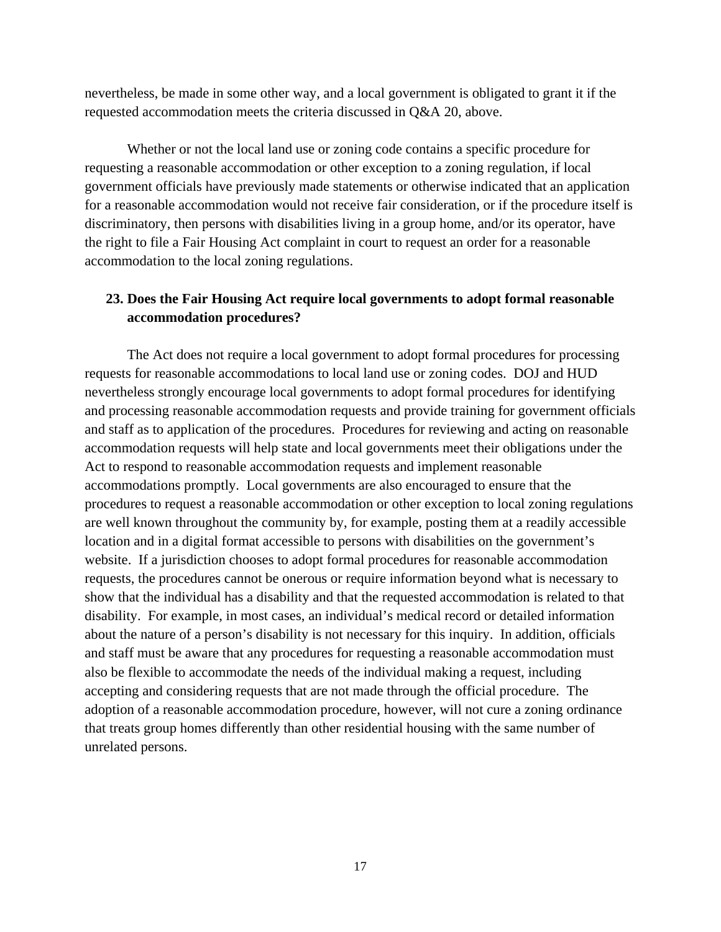nevertheless, be made in some other way, and a local government is obligated to grant it if the requested accommodation meets the criteria discussed in Q&A 20, above.

Whether or not the local land use or zoning code contains a specific procedure for requesting a reasonable accommodation or other exception to a zoning regulation, if local government officials have previously made statements or otherwise indicated that an application for a reasonable accommodation would not receive fair consideration, or if the procedure itself is discriminatory, then persons with disabilities living in a group home, and/or its operator, have the right to file a Fair Housing Act complaint in court to request an order for a reasonable accommodation to the local zoning regulations.

## **23. Does the Fair Housing Act require local governments to adopt formal reasonable accommodation procedures?**

The Act does not require a local government to adopt formal procedures for processing requests for reasonable accommodations to local land use or zoning codes. DOJ and HUD nevertheless strongly encourage local governments to adopt formal procedures for identifying and processing reasonable accommodation requests and provide training for government officials and staff as to application of the procedures. Procedures for reviewing and acting on reasonable accommodation requests will help state and local governments meet their obligations under the Act to respond to reasonable accommodation requests and implement reasonable accommodations promptly. Local governments are also encouraged to ensure that the procedures to request a reasonable accommodation or other exception to local zoning regulations are well known throughout the community by, for example, posting them at a readily accessible location and in a digital format accessible to persons with disabilities on the government's website. If a jurisdiction chooses to adopt formal procedures for reasonable accommodation requests, the procedures cannot be onerous or require information beyond what is necessary to show that the individual has a disability and that the requested accommodation is related to that disability. For example, in most cases, an individual's medical record or detailed information about the nature of a person's disability is not necessary for this inquiry. In addition, officials and staff must be aware that any procedures for requesting a reasonable accommodation must also be flexible to accommodate the needs of the individual making a request, including accepting and considering requests that are not made through the official procedure. The adoption of a reasonable accommodation procedure, however, will not cure a zoning ordinance that treats group homes differently than other residential housing with the same number of unrelated persons.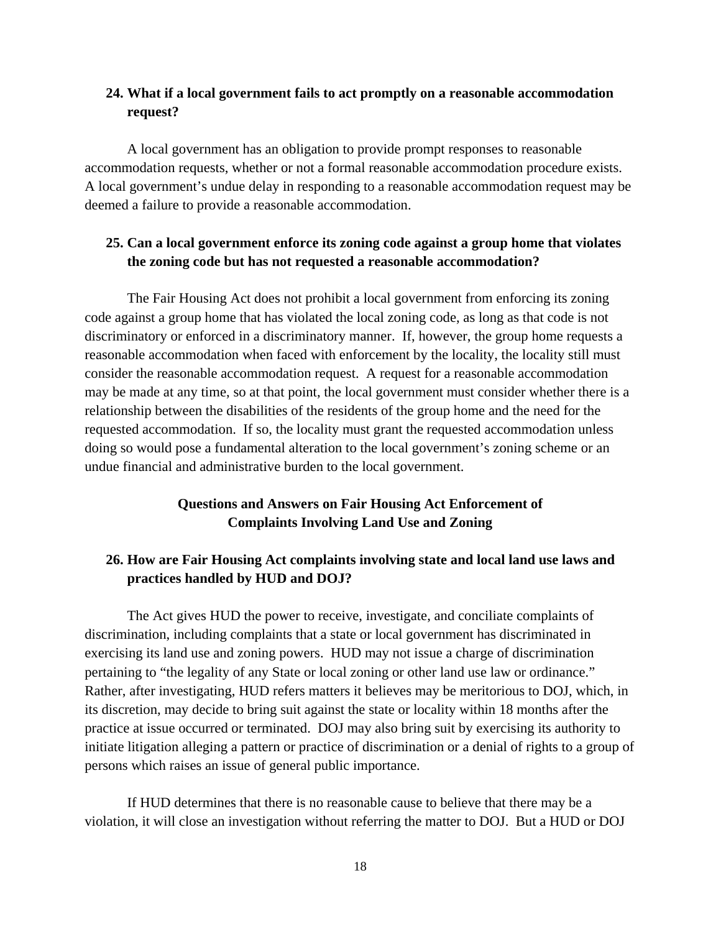# **24. What if a local government fails to act promptly on a reasonable accommodation request?**

A local government has an obligation to provide prompt responses to reasonable accommodation requests, whether or not a formal reasonable accommodation procedure exists. A local government's undue delay in responding to a reasonable accommodation request may be deemed a failure to provide a reasonable accommodation.

## **25. Can a local government enforce its zoning code against a group home that violates the zoning code but has not requested a reasonable accommodation?**

The Fair Housing Act does not prohibit a local government from enforcing its zoning code against a group home that has violated the local zoning code, as long as that code is not discriminatory or enforced in a discriminatory manner. If, however, the group home requests a reasonable accommodation when faced with enforcement by the locality, the locality still must consider the reasonable accommodation request. A request for a reasonable accommodation may be made at any time, so at that point, the local government must consider whether there is a relationship between the disabilities of the residents of the group home and the need for the requested accommodation. If so, the locality must grant the requested accommodation unless doing so would pose a fundamental alteration to the local government's zoning scheme or an undue financial and administrative burden to the local government.

# **Questions and Answers on Fair Housing Act Enforcement of Complaints Involving Land Use and Zoning**

# **26. How are Fair Housing Act complaints involving state and local land use laws and practices handled by HUD and DOJ?**

The Act gives HUD the power to receive, investigate, and conciliate complaints of discrimination, including complaints that a state or local government has discriminated in exercising its land use and zoning powers. HUD may not issue a charge of discrimination pertaining to "the legality of any State or local zoning or other land use law or ordinance." Rather, after investigating, HUD refers matters it believes may be meritorious to DOJ, which, in its discretion, may decide to bring suit against the state or locality within 18 months after the practice at issue occurred or terminated. DOJ may also bring suit by exercising its authority to initiate litigation alleging a pattern or practice of discrimination or a denial of rights to a group of persons which raises an issue of general public importance.

If HUD determines that there is no reasonable cause to believe that there may be a violation, it will close an investigation without referring the matter to DOJ. But a HUD or DOJ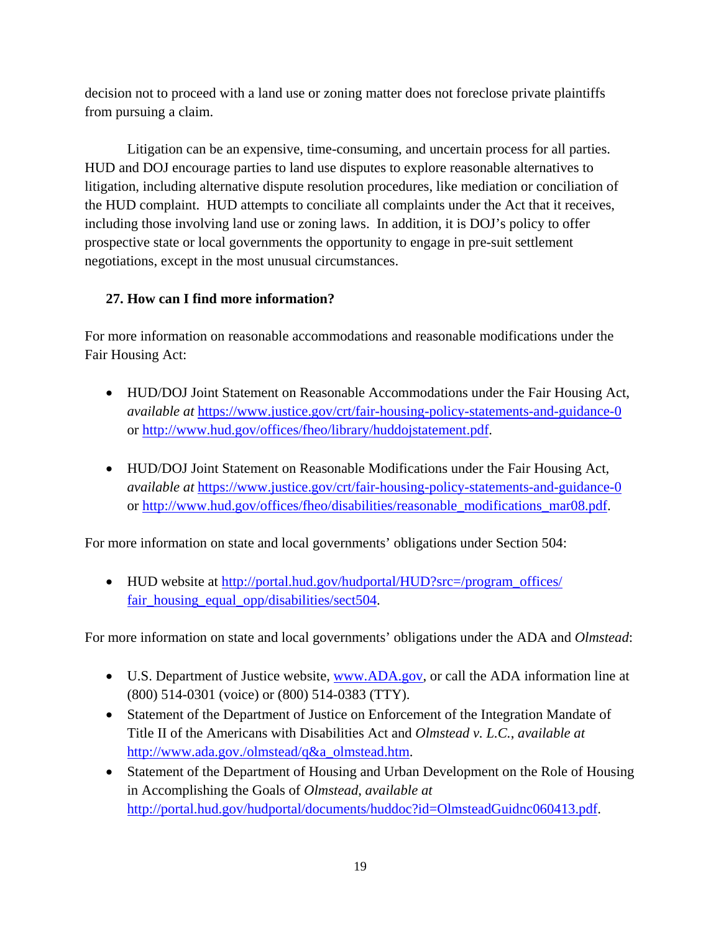decision not to proceed with a land use or zoning matter does not foreclose private plaintiffs from pursuing a claim.

Litigation can be an expensive, time-consuming, and uncertain process for all parties. HUD and DOJ encourage parties to land use disputes to explore reasonable alternatives to litigation, including alternative dispute resolution procedures, like mediation or conciliation of the HUD complaint. HUD attempts to conciliate all complaints under the Act that it receives, including those involving land use or zoning laws. In addition, it is DOJ's policy to offer prospective state or local governments the opportunity to engage in pre-suit settlement negotiations, except in the most unusual circumstances.

# **27. How can I find more information?**

For more information on reasonable accommodations and reasonable modifications under the Fair Housing Act:

- HUD/DOJ Joint Statement on Reasonable Accommodations under the Fair Housing Act, *available at https://www.justice.gov/crt/fair-housing-policy-statements-and-guidance-0* or http://www.hud.gov/offices/fheo/library/huddojstatement.pdf.
- HUD/DOJ Joint Statement on Reasonable Modifications under the Fair Housing Act, *available at https://www.justice.gov/crt/fair-housing-policy-statements-and-guidance-0* or http://www.hud.gov/offices/fheo/disabilities/reasonable\_modifications\_mar08.pdf.

For more information on state and local governments' obligations under Section 504:

• HUD website at http://portal.hud.gov/hudportal/HUD?src=/program\_offices/ fair\_housing\_equal\_opp/disabilities/sect504.

For more information on state and local governments' obligations under the ADA and *Olmstead*:

- U.S. Department of Justice website, www.ADA.gov, or call the ADA information line at (800) 514-0301 (voice) or (800) 514-0383 (TTY).
- Statement of the Department of Justice on Enforcement of the Integration Mandate of Title II of the Americans with Disabilities Act and *Olmstead v. L.C.*, *available at*  http://www.ada.gov./olmstead/q&a\_olmstead.htm.
- Statement of the Department of Housing and Urban Development on the Role of Housing in Accomplishing the Goals of *Olmstead*, *available at*  http://portal.hud.gov/hudportal/documents/huddoc?id=OlmsteadGuidnc060413.pdf.